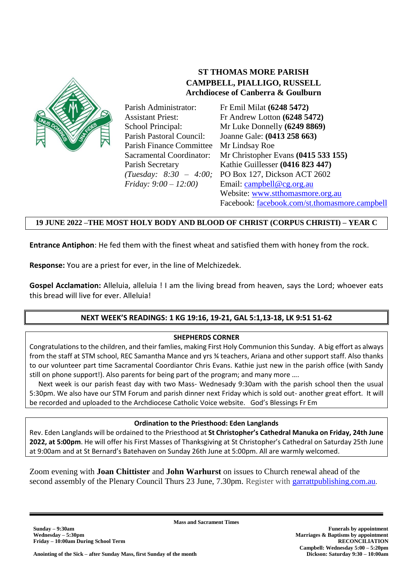

 **ST THOMAS MORE PARISH CAMPBELL, PIALLIGO, RUSSELL Archdiocese of Canberra & Goulburn**

Parish Administrator: Assistant Priest: School Principal: Parish Pastoral Council: Parish Finance Committee Mr Lindsay Roe Sacramental Coordinator: Parish Secretary *(Tuesday: 8:30 – 4:00; Friday: 9:00 – 12:00)*

Fr Emil Milat **(6248 5472)** Fr Andrew Lotton **(6248 5472)** Mr Luke Donnelly **(6249 8869)** Joanne Gale: **(0413 258 663)** Mr Christopher Evans **(0415 533 155)** Kathie Guillesser **(0416 823 447)** PO Box 127, Dickson ACT 2602 Email: [campbell@cg.org.au](file://///CAMFNP03/DATA/Campbell%20Parish/ST%20THOMAS%20MORE%20PARISH/BULLETINS/BULLETINS%202017/campbell@cg.org.au) Website: [www.stthomasmore.org.au](http://www.stthomasmore.org.au/) Facebook: [facebook.com/st.thomasmore.campbell](http://facebook.com/st.thomasmore.campbell)

## **19 JUNE 2022 –THE MOST HOLY BODY AND BLOOD OF CHRIST (CORPUS CHRISTI) – YEAR C**

**Entrance Antiphon**: He fed them with the finest wheat and satisfied them with honey from the rock.

**Response:** You are a priest for ever, in the line of Melchizedek.

**Gospel Acclamation:** Alleluia, alleluia ! I am the living bread from heaven, says the Lord; whoever eats this bread will live for ever. Alleluia!

# **NEXT WEEK'S READINGS: 1 KG 19:16, 19-21, GAL 5:1,13-18, LK 9:51 51-62**

#### **SHEPHERDS CORNER**

Congratulations to the children, and their famlies, making First Holy Communion this Sunday. A big effort as always from the staff at STM school, REC Samantha Mance and yrs ¾ teachers, Ariana and other support staff. Also thanks to our volunteer part time Sacramental Coordiantor Chris Evans. Kathie just new in the parish office (with Sandy still on phone support!). Also parents for being part of the program; and many more ….

 Next week is our parish feast day with two Mass- Wednesady 9:30am with the parish school then the usual 5:30pm. We also have our STM Forum and parish dinner next Friday which is sold out- another great effort. It will be recorded and uploaded to the Archdiocese Catholic Voice website. God's Blessings Fr Em

#### **Ordination to the Priesthood: Eden Langlands**

Rev. Eden Langlands will be ordained to the Priesthood at **St Christopher's Cathedral Manuka on Friday, 24th June 2022, at 5:00pm**. He will offer his First Masses of Thanksgiving at St Christopher's Cathedral on Saturday 25th June at 9:00am and at St Bernard's Batehaven on Sunday 26th June at 5:00pm. All are warmly welcomed.

Zoom evening with **Joan Chittister** and **John Warhurst** on issues to Church renewal ahead of the second assembly of the Plenary Council Thurs 23 June, 7.30pm. Register with [garrattpublishing.com.au](https://www.garrattpublishing.com.au/blog/post/joan-chittister-zoom23june/).

**Mass and Sacrament Times**